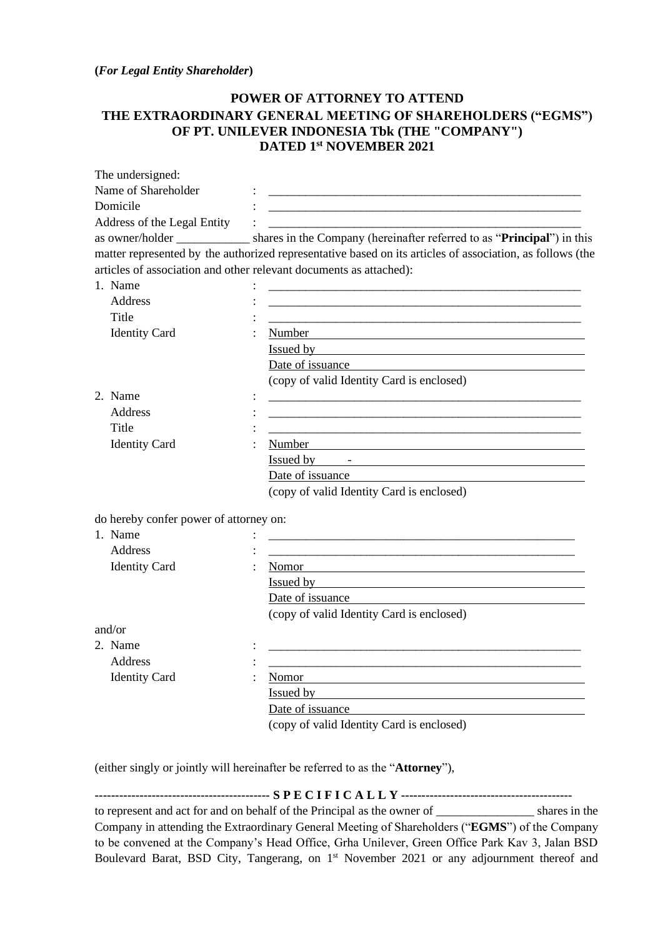## **(***For Legal Entity Shareholder***)**

## **POWER OF ATTORNEY TO ATTEND THE EXTRAORDINARY GENERAL MEETING OF SHAREHOLDERS ("EGMS") OF PT. UNILEVER INDONESIA Tbk (THE "COMPANY") DATED 1 st NOVEMBER 2021**

| The undersigned:                       |                                                                                                                                                                                                                                |
|----------------------------------------|--------------------------------------------------------------------------------------------------------------------------------------------------------------------------------------------------------------------------------|
| Name of Shareholder                    |                                                                                                                                                                                                                                |
| Domicile                               | <u> 1980 - Johann Barbara, martxa alemaniar argumento de la contrada de la contrada de la contrada de la contrad</u>                                                                                                           |
| Address of the Legal Entity            |                                                                                                                                                                                                                                |
|                                        | as owner/holder ____________ shares in the Company (hereinafter referred to as "Principal") in this                                                                                                                            |
|                                        | matter represented by the authorized representative based on its articles of association, as follows (the                                                                                                                      |
|                                        | articles of association and other relevant documents as attached):                                                                                                                                                             |
| 1. Name                                |                                                                                                                                                                                                                                |
| Address                                | <u> 1989 - Johann Harry Harry Harry Harry Harry Harry Harry Harry Harry Harry Harry Harry Harry Harry Harry Harry</u>                                                                                                          |
| Title                                  |                                                                                                                                                                                                                                |
| <b>Identity Card</b>                   | Number                                                                                                                                                                                                                         |
|                                        | Issued by                                                                                                                                                                                                                      |
|                                        | Date of issuance                                                                                                                                                                                                               |
|                                        | (copy of valid Identity Card is enclosed)                                                                                                                                                                                      |
| 2. Name                                |                                                                                                                                                                                                                                |
| Address                                |                                                                                                                                                                                                                                |
| Title                                  |                                                                                                                                                                                                                                |
| <b>Identity Card</b>                   | Number Management and the contract of the contract of the contract of the contract of the contract of the contract of the contract of the contract of the contract of the contract of the contract of the contract of the cont |
|                                        |                                                                                                                                                                                                                                |
|                                        | Date of issuance                                                                                                                                                                                                               |
|                                        | (copy of valid Identity Card is enclosed)                                                                                                                                                                                      |
|                                        |                                                                                                                                                                                                                                |
| do hereby confer power of attorney on: |                                                                                                                                                                                                                                |
| 1. Name                                |                                                                                                                                                                                                                                |
| Address                                |                                                                                                                                                                                                                                |
| <b>Identity Card</b>                   | Nomor                                                                                                                                                                                                                          |
|                                        | Issued by the contract of the contract of the contract of the contract of the contract of the contract of the contract of the contract of the contract of the contract of the contract of the contract of the contract of the  |
|                                        | Date of issuance                                                                                                                                                                                                               |
|                                        | (copy of valid Identity Card is enclosed)                                                                                                                                                                                      |
| and/or                                 |                                                                                                                                                                                                                                |
| 2. Name                                |                                                                                                                                                                                                                                |
| Address                                |                                                                                                                                                                                                                                |
| <b>Identity Card</b>                   | Nomor                                                                                                                                                                                                                          |
|                                        | <b>Issued by</b>                                                                                                                                                                                                               |
|                                        | Date of issuance                                                                                                                                                                                                               |
|                                        | (copy of valid Identity Card is enclosed)                                                                                                                                                                                      |
|                                        |                                                                                                                                                                                                                                |
|                                        | (either singly or jointly will hereinafter be referred to as the "Attorney"),                                                                                                                                                  |

**------------------------------------------- S P E C I F I C A L L Y -----------------------------------------** to represent and act for and on behalf of the Principal as the owner of shares in the Company in attending the Extraordinary General Meeting of Shareholders ("**EGMS**") of the Company to be convened at the Company's Head Office, Grha Unilever, Green Office Park Kav 3, Jalan BSD Boulevard Barat, BSD City, Tangerang, on 1<sup>st</sup> November 2021 or any adjournment thereof and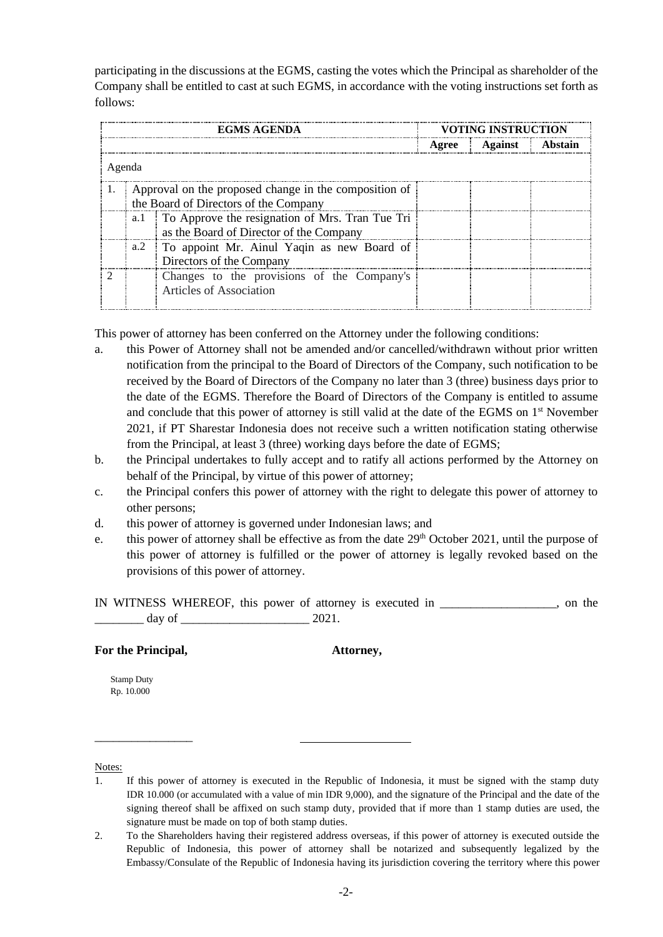participating in the discussions at the EGMS, casting the votes which the Principal as shareholder of the Company shall be entitled to cast at such EGMS, in accordance with the voting instructions set forth as follows:

| <b>EGMS AGENDA</b> |                                                                                                | <b>VOTING INSTRUCTION</b>                                                                      |  |                 |         |  |
|--------------------|------------------------------------------------------------------------------------------------|------------------------------------------------------------------------------------------------|--|-----------------|---------|--|
|                    |                                                                                                |                                                                                                |  | Agree   Against | Abstain |  |
| Agenda             |                                                                                                |                                                                                                |  |                 |         |  |
|                    | Approval on the proposed change in the composition of<br>the Board of Directors of the Company |                                                                                                |  |                 |         |  |
|                    |                                                                                                | a.1 To Approve the resignation of Mrs. Tran Tue Tri<br>as the Board of Director of the Company |  |                 |         |  |
|                    |                                                                                                | a.2 To appoint Mr. Ainul Yaqin as new Board of<br>Directors of the Company                     |  |                 |         |  |
|                    |                                                                                                | Changes to the provisions of the Company's<br>Articles of Association                          |  |                 |         |  |

This power of attorney has been conferred on the Attorney under the following conditions:

- a. this Power of Attorney shall not be amended and/or cancelled/withdrawn without prior written notification from the principal to the Board of Directors of the Company, such notification to be received by the Board of Directors of the Company no later than 3 (three) business days prior to the date of the EGMS. Therefore the Board of Directors of the Company is entitled to assume and conclude that this power of attorney is still valid at the date of the EGMS on 1<sup>st</sup> November 2021, if PT Sharestar Indonesia does not receive such a written notification stating otherwise from the Principal, at least 3 (three) working days before the date of EGMS;
- b. the Principal undertakes to fully accept and to ratify all actions performed by the Attorney on behalf of the Principal, by virtue of this power of attorney;
- c. the Principal confers this power of attorney with the right to delegate this power of attorney to other persons;
- d. this power of attorney is governed under Indonesian laws; and
- e. this power of attorney shall be effective as from the date 29<sup>th</sup> October 2021, until the purpose of this power of attorney is fulfilled or the power of attorney is legally revoked based on the provisions of this power of attorney.

IN WITNESS WHEREOF, this power of attorney is executed in \_\_\_\_\_\_\_\_\_\_\_\_\_\_\_\_\_\_\_, on the  $\frac{day \text{ of }_{2000 \text{ of }_{2000 \text{ of }_{2000 \text{ of }_{2000 \text{ of }_{2000 \text{ of }_{2000 \text{ of }_{2000 \text{ of }_{2000 \text{ of }_{2000 \text{ of }_{2000 \text{ of }_{2000 \text{ of }_{2000 \text{ of }_{2000 \text{ of }_{2000 \text{ of }_{2000 \text{ of }_{2000 \text{ of }_{2000 \text{ of }_{2000 \text{ of }_{2000 \text{ of }_{2000 \text{ of }_{2000 \text{ of }_{$ 

## **For the Principal, Attorney,**

\_\_\_\_\_\_\_\_\_\_\_\_\_\_\_\_

Stamp Duty Rp. 10.000

Notes:

- 1. If this power of attorney is executed in the Republic of Indonesia, it must be signed with the stamp duty IDR 10.000 (or accumulated with a value of min IDR 9,000), and the signature of the Principal and the date of the signing thereof shall be affixed on such stamp duty, provided that if more than 1 stamp duties are used, the signature must be made on top of both stamp duties.
- 2. To the Shareholders having their registered address overseas, if this power of attorney is executed outside the Republic of Indonesia, this power of attorney shall be notarized and subsequently legalized by the Embassy/Consulate of the Republic of Indonesia having its jurisdiction covering the territory where this power